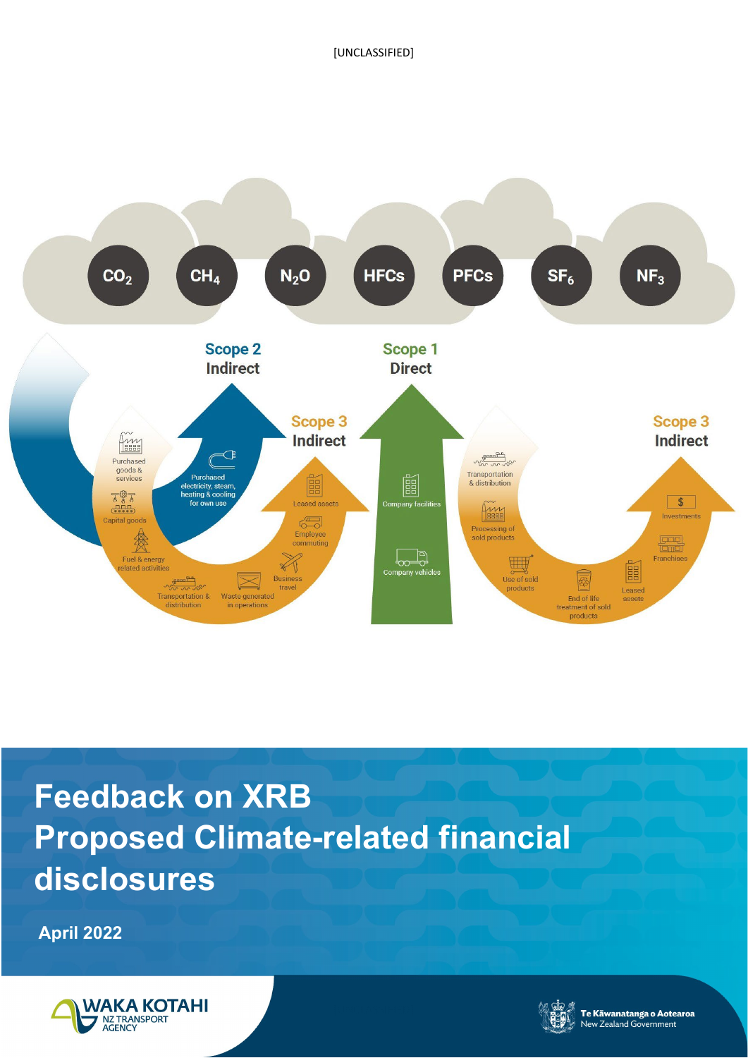

# **Feedback on XRB Proposed Climate-related financial disclosures**

**April 2022**



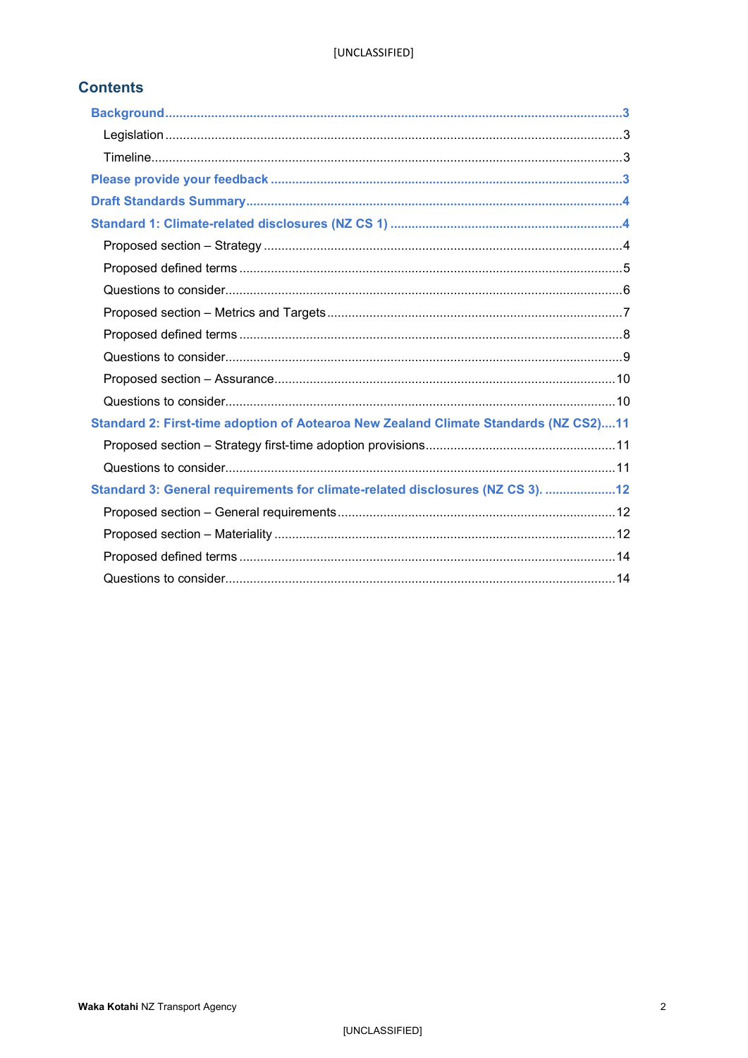### **Contents**

| Standard 2: First-time adoption of Aotearoa New Zealand Climate Standards (NZ CS2)11 |  |
|--------------------------------------------------------------------------------------|--|
|                                                                                      |  |
|                                                                                      |  |
| Standard 3: General requirements for climate-related disclosures (NZ CS 3). 12       |  |
|                                                                                      |  |
|                                                                                      |  |
|                                                                                      |  |
|                                                                                      |  |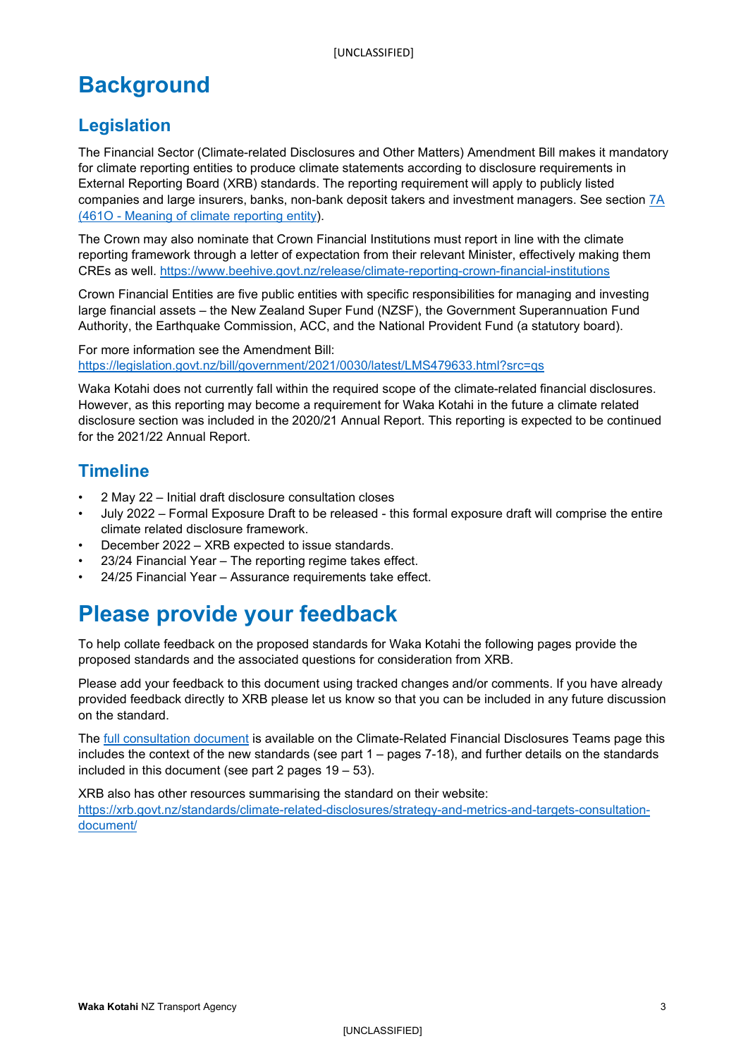# <span id="page-2-0"></span>**Background**

# <span id="page-2-1"></span>**Legislation**

The Financial Sector (Climate-related Disclosures and Other Matters) Amendment Bill makes it mandatory for climate reporting entities to produce climate statements according to disclosure requirements in External Reporting Board (XRB) standards. The reporting requirement will apply to publicly listed companies and large insurers, banks, non-bank deposit takers and investment managers. See section [7A](https://legislation.govt.nz/bill/government/2021/0030/latest/LMS479740.html#LMS479669)  [\(461O - Meaning of climate reporting entity\)](https://legislation.govt.nz/bill/government/2021/0030/latest/LMS479740.html#LMS479669).

The Crown may also nominate that Crown Financial Institutions must report in line with the climate reporting framework through a letter of expectation from their relevant Minister, effectively making them CREs as well.<https://www.beehive.govt.nz/release/climate-reporting-crown-financial-institutions>

Crown Financial Entities are five public entities with specific responsibilities for managing and investing large financial assets – the New Zealand Super Fund (NZSF), the Government Superannuation Fund Authority, the Earthquake Commission, ACC, and the National Provident Fund (a statutory board).

For more information see the Amendment Bill: <https://legislation.govt.nz/bill/government/2021/0030/latest/LMS479633.html?src=qs>

Waka Kotahi does not currently fall within the required scope of the climate-related financial disclosures. However, as this reporting may become a requirement for Waka Kotahi in the future a climate related disclosure section was included in the 2020/21 Annual Report. This reporting is expected to be continued for the 2021/22 Annual Report.

# <span id="page-2-2"></span>**Timeline**

- 2 May 22 Initial draft disclosure consultation closes
- July 2022 Formal Exposure Draft to be released this formal exposure draft will comprise the entire climate related disclosure framework.
- December 2022 XRB expected to issue standards.
- 23/24 Financial Year The reporting regime takes effect.
- 24/25 Financial Year Assurance requirements take effect.

# <span id="page-2-3"></span>**Please provide your feedback**

To help collate feedback on the proposed standards for Waka Kotahi the following pages provide the proposed standards and the associated questions for consideration from XRB.

Please add your feedback to this document using tracked changes and/or comments. If you have already provided feedback directly to XRB please let us know so that you can be included in any future discussion on the standard.

The [full consultation document](https://nztransportagency.sharepoint.com/:b:/r/sites/Climate-RelatedFinancialDisclosures-grp365/Shared%20Documents/General/XRB%20CrD%20Consultation%20Document%20March%202022.pdf?csf=1&web=1&e=XTzfm6) is available on the Climate-Related Financial Disclosures Teams page this includes the context of the new standards (see part 1 – pages 7-18), and further details on the standards included in this document (see part 2 pages 19 – 53).

XRB also has other resources summarising the standard on their website: [https://xrb.govt.nz/standards/climate-related-disclosures/strategy-and-metrics-and-targets-consultation](https://xrb.govt.nz/standards/climate-related-disclosures/strategy-and-metrics-and-targets-consultation-document/)[document/](https://xrb.govt.nz/standards/climate-related-disclosures/strategy-and-metrics-and-targets-consultation-document/)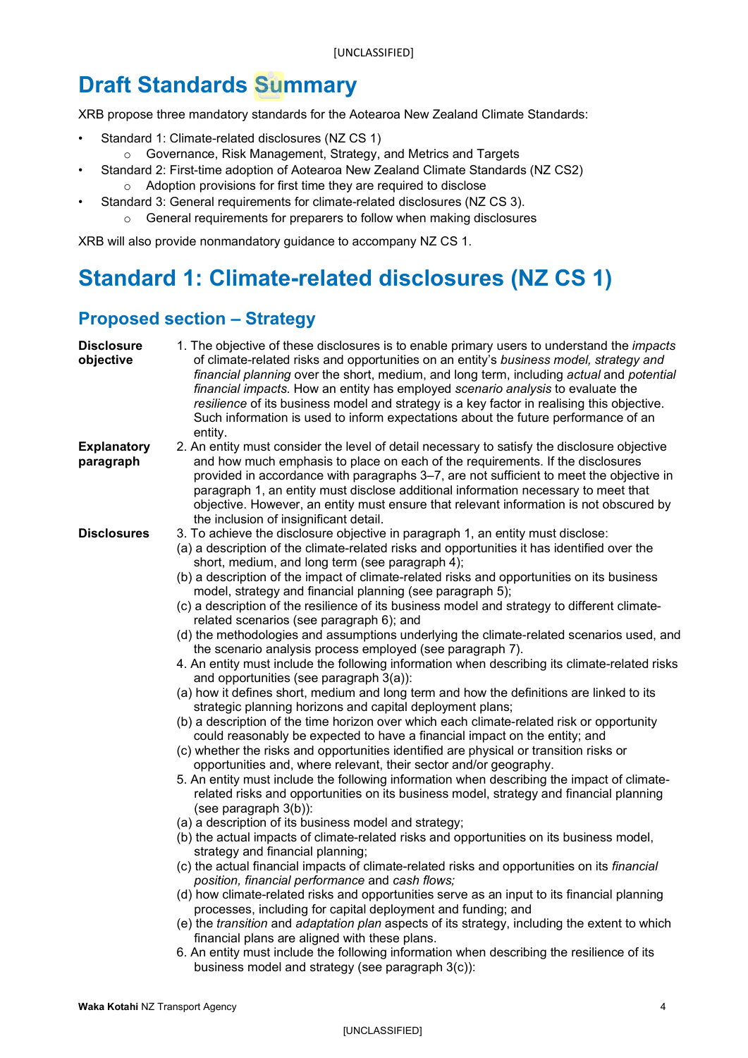# <span id="page-3-0"></span>**Draft Standards Summary**

XRB propose three mandatory standards for the Aotearoa New Zealand Climate Standards:

- Standard 1: Climate-related disclosures (NZ CS 1)
	- o Governance, Risk Management, Strategy, and Metrics and Targets
- Standard 2: First-time adoption of Aotearoa New Zealand Climate Standards (NZ CS2) o Adoption provisions for first time they are required to disclose
- Standard 3: General requirements for climate-related disclosures (NZ CS 3).
	- o General requirements for preparers to follow when making disclosures

XRB will also provide nonmandatory guidance to accompany NZ CS 1.

# <span id="page-3-1"></span>**Standard 1: Climate-related disclosures (NZ CS 1)**

# <span id="page-3-2"></span>**Proposed section – Strategy**

| <b>Disclosure</b><br>objective  | 1. The objective of these disclosures is to enable primary users to understand the <i>impacts</i><br>of climate-related risks and opportunities on an entity's business model, strategy and<br>financial planning over the short, medium, and long term, including actual and potential<br>financial impacts. How an entity has employed scenario analysis to evaluate the<br>resilience of its business model and strategy is a key factor in realising this objective.<br>Such information is used to inform expectations about the future performance of an<br>entity.                                                                                                                                                                                                                                                                                                                                                                                                                                                                                                                                                                                                                                                                                                                                                                                                                                                                                                                                                                |
|---------------------------------|------------------------------------------------------------------------------------------------------------------------------------------------------------------------------------------------------------------------------------------------------------------------------------------------------------------------------------------------------------------------------------------------------------------------------------------------------------------------------------------------------------------------------------------------------------------------------------------------------------------------------------------------------------------------------------------------------------------------------------------------------------------------------------------------------------------------------------------------------------------------------------------------------------------------------------------------------------------------------------------------------------------------------------------------------------------------------------------------------------------------------------------------------------------------------------------------------------------------------------------------------------------------------------------------------------------------------------------------------------------------------------------------------------------------------------------------------------------------------------------------------------------------------------------|
| <b>Explanatory</b><br>paragraph | 2. An entity must consider the level of detail necessary to satisfy the disclosure objective<br>and how much emphasis to place on each of the requirements. If the disclosures<br>provided in accordance with paragraphs 3–7, are not sufficient to meet the objective in<br>paragraph 1, an entity must disclose additional information necessary to meet that<br>objective. However, an entity must ensure that relevant information is not obscured by<br>the inclusion of insignificant detail.                                                                                                                                                                                                                                                                                                                                                                                                                                                                                                                                                                                                                                                                                                                                                                                                                                                                                                                                                                                                                                      |
|                                 | 3. To achieve the disclosure objective in paragraph 1, an entity must disclose:<br>(a) a description of the climate-related risks and opportunities it has identified over the<br>short, medium, and long term (see paragraph 4);<br>(b) a description of the impact of climate-related risks and opportunities on its business<br>model, strategy and financial planning (see paragraph 5);<br>(c) a description of the resilience of its business model and strategy to different climate-<br>related scenarios (see paragraph 6); and<br>(d) the methodologies and assumptions underlying the climate-related scenarios used, and<br>the scenario analysis process employed (see paragraph 7).<br>4. An entity must include the following information when describing its climate-related risks<br>and opportunities (see paragraph 3(a)):<br>(a) how it defines short, medium and long term and how the definitions are linked to its<br>strategic planning horizons and capital deployment plans;<br>(b) a description of the time horizon over which each climate-related risk or opportunity<br>could reasonably be expected to have a financial impact on the entity; and<br>(c) whether the risks and opportunities identified are physical or transition risks or<br>opportunities and, where relevant, their sector and/or geography.<br>5. An entity must include the following information when describing the impact of climate-<br>related risks and opportunities on its business model, strategy and financial planning |
|                                 | (see paragraph 3(b)):<br>(a) a description of its business model and strategy;<br>(b) the actual impacts of climate-related risks and opportunities on its business model,<br>strategy and financial planning;<br>(c) the actual financial impacts of climate-related risks and opportunities on its <i>financial</i><br>position, financial performance and cash flows;<br>(d) how climate-related risks and opportunities serve as an input to its financial planning<br>processes, including for capital deployment and funding; and<br>(e) the transition and adaptation plan aspects of its strategy, including the extent to which<br>financial plans are aligned with these plans.<br>6. An entity must include the following information when describing the resilience of its                                                                                                                                                                                                                                                                                                                                                                                                                                                                                                                                                                                                                                                                                                                                                   |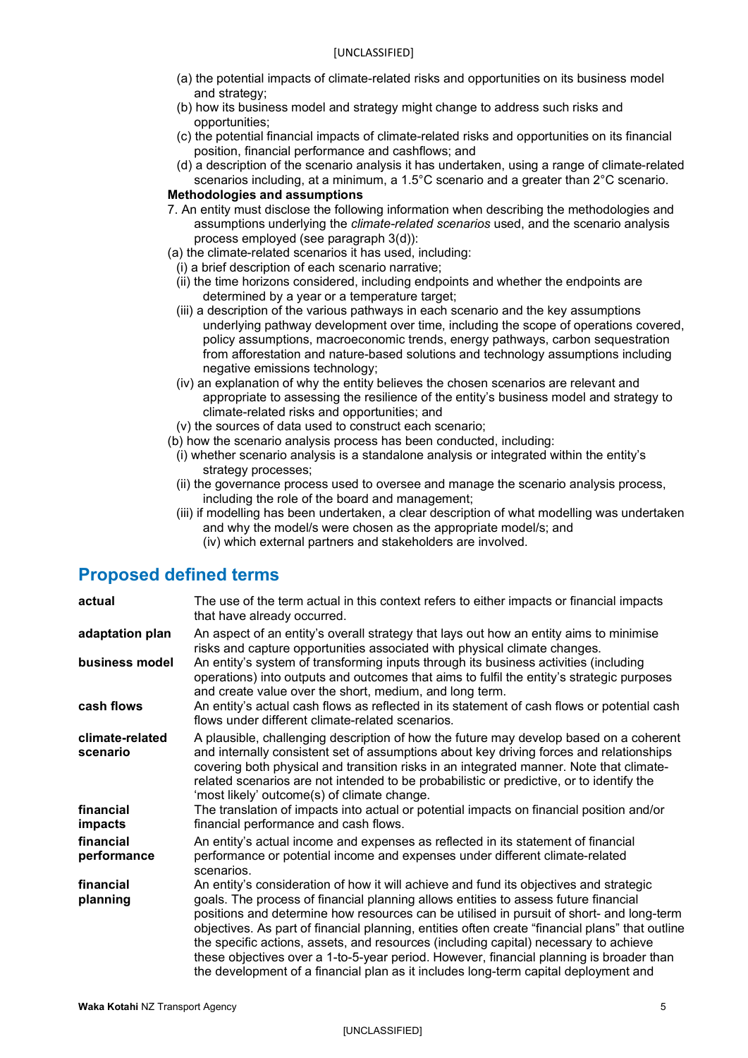- (a) the potential impacts of climate-related risks and opportunities on its business model and strategy;
- (b) how its business model and strategy might change to address such risks and opportunities;
- (c) the potential financial impacts of climate-related risks and opportunities on its financial position, financial performance and cashflows; and
- (d) a description of the scenario analysis it has undertaken, using a range of climate-related scenarios including, at a minimum, a 1.5°C scenario and a greater than 2°C scenario.

#### **Methodologies and assumptions**

- 7. An entity must disclose the following information when describing the methodologies and assumptions underlying the *climate-related scenarios* used, and the scenario analysis process employed (see paragraph 3(d)):
- (a) the climate-related scenarios it has used, including:
	- (i) a brief description of each scenario narrative;
	- (ii) the time horizons considered, including endpoints and whether the endpoints are determined by a year or a temperature target;
	- (iii) a description of the various pathways in each scenario and the key assumptions underlying pathway development over time, including the scope of operations covered, policy assumptions, macroeconomic trends, energy pathways, carbon sequestration from afforestation and nature-based solutions and technology assumptions including negative emissions technology;
	- (iv) an explanation of why the entity believes the chosen scenarios are relevant and appropriate to assessing the resilience of the entity's business model and strategy to climate-related risks and opportunities; and
	- (v) the sources of data used to construct each scenario;
- (b) how the scenario analysis process has been conducted, including:
	- (i) whether scenario analysis is a standalone analysis or integrated within the entity's strategy processes;
	- (ii) the governance process used to oversee and manage the scenario analysis process, including the role of the board and management;
	- (iii) if modelling has been undertaken, a clear description of what modelling was undertaken and why the model/s were chosen as the appropriate model/s; and (iv) which external partners and stakeholders are involved.

### <span id="page-4-0"></span>**Proposed defined terms**

| actual                      | The use of the term actual in this context refers to either impacts or financial impacts<br>that have already occurred.                                                                                                                                                                                                                                                                                                                                                                                                                                                                                                                                |
|-----------------------------|--------------------------------------------------------------------------------------------------------------------------------------------------------------------------------------------------------------------------------------------------------------------------------------------------------------------------------------------------------------------------------------------------------------------------------------------------------------------------------------------------------------------------------------------------------------------------------------------------------------------------------------------------------|
| adaptation plan             | An aspect of an entity's overall strategy that lays out how an entity aims to minimise<br>risks and capture opportunities associated with physical climate changes.                                                                                                                                                                                                                                                                                                                                                                                                                                                                                    |
| business model              | An entity's system of transforming inputs through its business activities (including<br>operations) into outputs and outcomes that aims to fulfil the entity's strategic purposes<br>and create value over the short, medium, and long term.                                                                                                                                                                                                                                                                                                                                                                                                           |
| cash flows                  | An entity's actual cash flows as reflected in its statement of cash flows or potential cash<br>flows under different climate-related scenarios.                                                                                                                                                                                                                                                                                                                                                                                                                                                                                                        |
| climate-related<br>scenario | A plausible, challenging description of how the future may develop based on a coherent<br>and internally consistent set of assumptions about key driving forces and relationships<br>covering both physical and transition risks in an integrated manner. Note that climate-<br>related scenarios are not intended to be probabilistic or predictive, or to identify the<br>'most likely' outcome(s) of climate change.                                                                                                                                                                                                                                |
| financial<br>impacts        | The translation of impacts into actual or potential impacts on financial position and/or<br>financial performance and cash flows.                                                                                                                                                                                                                                                                                                                                                                                                                                                                                                                      |
| financial<br>performance    | An entity's actual income and expenses as reflected in its statement of financial<br>performance or potential income and expenses under different climate-related<br>scenarios.                                                                                                                                                                                                                                                                                                                                                                                                                                                                        |
| financial<br>planning       | An entity's consideration of how it will achieve and fund its objectives and strategic<br>goals. The process of financial planning allows entities to assess future financial<br>positions and determine how resources can be utilised in pursuit of short- and long-term<br>objectives. As part of financial planning, entities often create "financial plans" that outline<br>the specific actions, assets, and resources (including capital) necessary to achieve<br>these objectives over a 1-to-5-year period. However, financial planning is broader than<br>the development of a financial plan as it includes long-term capital deployment and |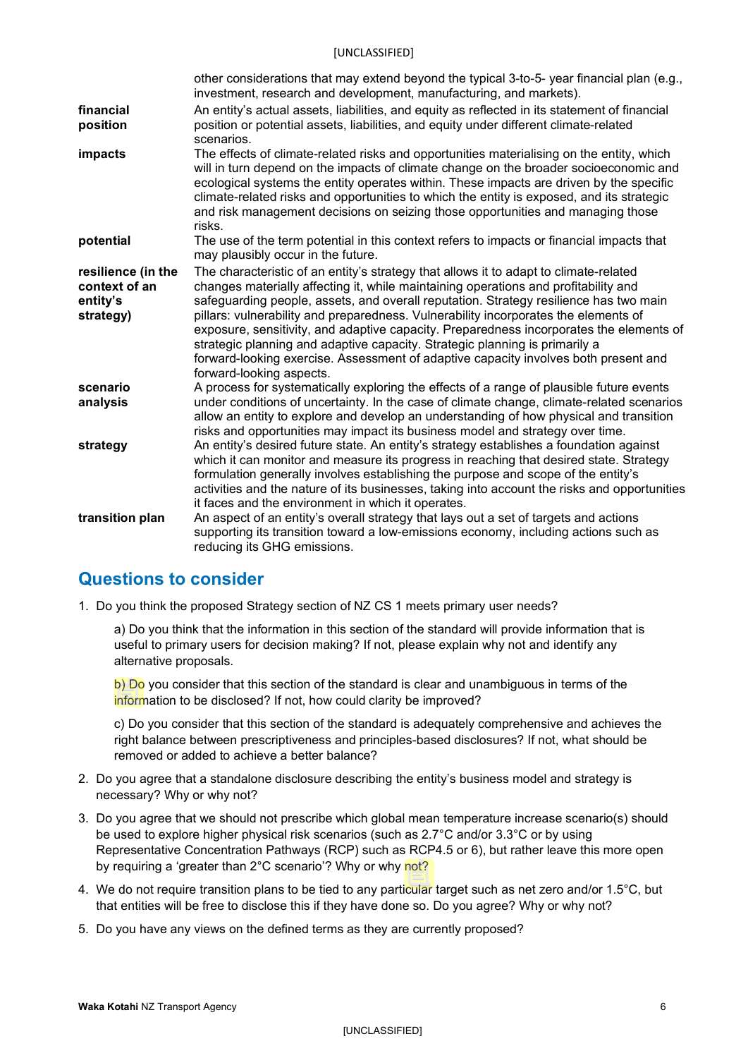#### [UNCLASSIFIED]

|                       | other considerations that may extend beyond the typical 3-to-5- year financial plan (e.g.,<br>investment, research and development, manufacturing, and markets).                                                                                                                                                                                                                                                                                                        |
|-----------------------|-------------------------------------------------------------------------------------------------------------------------------------------------------------------------------------------------------------------------------------------------------------------------------------------------------------------------------------------------------------------------------------------------------------------------------------------------------------------------|
| financial<br>position | An entity's actual assets, liabilities, and equity as reflected in its statement of financial<br>position or potential assets, liabilities, and equity under different climate-related<br>scenarios.                                                                                                                                                                                                                                                                    |
| impacts               | The effects of climate-related risks and opportunities materialising on the entity, which<br>will in turn depend on the impacts of climate change on the broader socioeconomic and<br>ecological systems the entity operates within. These impacts are driven by the specific<br>climate-related risks and opportunities to which the entity is exposed, and its strategic<br>and risk management decisions on seizing those opportunities and managing those<br>risks. |
| potential             | The use of the term potential in this context refers to impacts or financial impacts that<br>may plausibly occur in the future.                                                                                                                                                                                                                                                                                                                                         |
| resilience (in the    | The characteristic of an entity's strategy that allows it to adapt to climate-related                                                                                                                                                                                                                                                                                                                                                                                   |
| context of an         | changes materially affecting it, while maintaining operations and profitability and                                                                                                                                                                                                                                                                                                                                                                                     |
| entity's              | safeguarding people, assets, and overall reputation. Strategy resilience has two main                                                                                                                                                                                                                                                                                                                                                                                   |
| strategy)             | pillars: vulnerability and preparedness. Vulnerability incorporates the elements of<br>exposure, sensitivity, and adaptive capacity. Preparedness incorporates the elements of<br>strategic planning and adaptive capacity. Strategic planning is primarily a<br>forward-looking exercise. Assessment of adaptive capacity involves both present and<br>forward-looking aspects.                                                                                        |
| scenario<br>analysis  | A process for systematically exploring the effects of a range of plausible future events<br>under conditions of uncertainty. In the case of climate change, climate-related scenarios<br>allow an entity to explore and develop an understanding of how physical and transition<br>risks and opportunities may impact its business model and strategy over time.                                                                                                        |
| strategy              | An entity's desired future state. An entity's strategy establishes a foundation against<br>which it can monitor and measure its progress in reaching that desired state. Strategy<br>formulation generally involves establishing the purpose and scope of the entity's<br>activities and the nature of its businesses, taking into account the risks and opportunities<br>it faces and the environment in which it operates.                                            |
| transition plan       | An aspect of an entity's overall strategy that lays out a set of targets and actions<br>supporting its transition toward a low-emissions economy, including actions such as<br>reducing its GHG emissions.                                                                                                                                                                                                                                                              |

### <span id="page-5-0"></span>**Questions to consider**

1. Do you think the proposed Strategy section of NZ CS 1 meets primary user needs?

a) Do you think that the information in this section of the standard will provide information that is useful to primary users for decision making? If not, please explain why not and identify any alternative proposals.

b) Do you consider that this section of the standard is clear and unambiguous in terms of the information to be disclosed? If not, how could clarity be improved?

c) Do you consider that this section of the standard is adequately comprehensive and achieves the right balance between prescriptiveness and principles-based disclosures? If not, what should be removed or added to achieve a better balance?

- 2. Do you agree that a standalone disclosure describing the entity's business model and strategy is necessary? Why or why not?
- 3. Do you agree that we should not prescribe which global mean temperature increase scenario(s) should be used to explore higher physical risk scenarios (such as 2.7°C and/or 3.3°C or by using Representative Concentration Pathways (RCP) such as RCP4.5 or 6), but rather leave this more open by requiring a 'greater than 2°C scenario'? Why or why not?
- 4. We do not require transition plans to be tied to any particular target such as net zero and/or 1.5°C, but that entities will be free to disclose this if they have done so. Do you agree? Why or why not?
- 5. Do you have any views on the defined terms as they are currently proposed?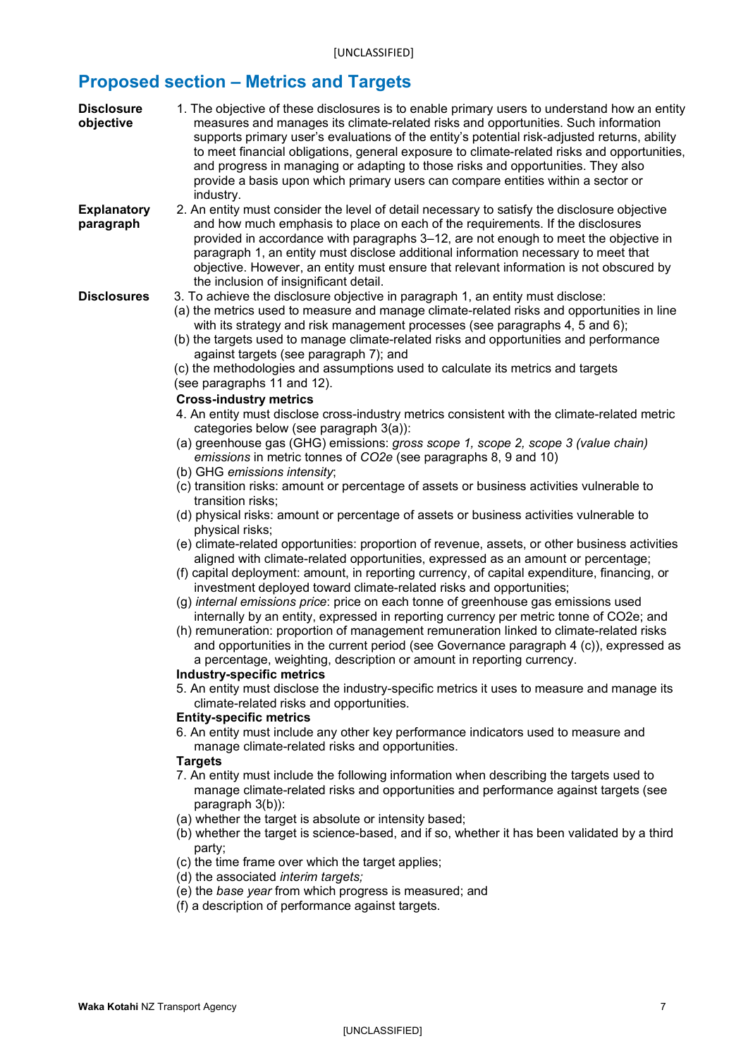# <span id="page-6-0"></span>**Proposed section – Metrics and Targets**

| <b>Disclosure</b><br>objective  | 1. The objective of these disclosures is to enable primary users to understand how an entity<br>measures and manages its climate-related risks and opportunities. Such information<br>supports primary user's evaluations of the entity's potential risk-adjusted returns, ability<br>to meet financial obligations, general exposure to climate-related risks and opportunities,<br>and progress in managing or adapting to those risks and opportunities. They also<br>provide a basis upon which primary users can compare entities within a sector or<br>industry.                                                                                                                                                                                                                                                      |
|---------------------------------|-----------------------------------------------------------------------------------------------------------------------------------------------------------------------------------------------------------------------------------------------------------------------------------------------------------------------------------------------------------------------------------------------------------------------------------------------------------------------------------------------------------------------------------------------------------------------------------------------------------------------------------------------------------------------------------------------------------------------------------------------------------------------------------------------------------------------------|
| <b>Explanatory</b><br>paragraph | 2. An entity must consider the level of detail necessary to satisfy the disclosure objective<br>and how much emphasis to place on each of the requirements. If the disclosures<br>provided in accordance with paragraphs 3–12, are not enough to meet the objective in<br>paragraph 1, an entity must disclose additional information necessary to meet that<br>objective. However, an entity must ensure that relevant information is not obscured by<br>the inclusion of insignificant detail.                                                                                                                                                                                                                                                                                                                            |
| <b>Disclosures</b>              | 3. To achieve the disclosure objective in paragraph 1, an entity must disclose:<br>(a) the metrics used to measure and manage climate-related risks and opportunities in line<br>with its strategy and risk management processes (see paragraphs 4, 5 and 6);<br>(b) the targets used to manage climate-related risks and opportunities and performance<br>against targets (see paragraph 7); and<br>(c) the methodologies and assumptions used to calculate its metrics and targets<br>(see paragraphs 11 and 12).<br><b>Cross-industry metrics</b><br>4. An entity must disclose cross-industry metrics consistent with the climate-related metric<br>categories below (see paragraph 3(a)):                                                                                                                              |
|                                 | (a) greenhouse gas (GHG) emissions: gross scope 1, scope 2, scope 3 (value chain)<br>emissions in metric tonnes of CO2e (see paragraphs 8, 9 and 10)<br>(b) GHG emissions intensity;                                                                                                                                                                                                                                                                                                                                                                                                                                                                                                                                                                                                                                        |
|                                 | (c) transition risks: amount or percentage of assets or business activities vulnerable to<br>transition risks;<br>(d) physical risks: amount or percentage of assets or business activities vulnerable to                                                                                                                                                                                                                                                                                                                                                                                                                                                                                                                                                                                                                   |
|                                 | physical risks;<br>(e) climate-related opportunities: proportion of revenue, assets, or other business activities<br>aligned with climate-related opportunities, expressed as an amount or percentage;<br>(f) capital deployment: amount, in reporting currency, of capital expenditure, financing, or<br>investment deployed toward climate-related risks and opportunities;<br>(g) internal emissions price: price on each tonne of greenhouse gas emissions used<br>internally by an entity, expressed in reporting currency per metric tonne of CO2e; and<br>(h) remuneration: proportion of management remuneration linked to climate-related risks<br>and opportunities in the current period (see Governance paragraph 4 (c)), expressed as<br>a percentage, weighting, description or amount in reporting currency. |
|                                 | <b>Industry-specific metrics</b><br>5. An entity must disclose the industry-specific metrics it uses to measure and manage its<br>climate-related risks and opportunities.                                                                                                                                                                                                                                                                                                                                                                                                                                                                                                                                                                                                                                                  |
|                                 | <b>Entity-specific metrics</b><br>6. An entity must include any other key performance indicators used to measure and<br>manage climate-related risks and opportunities.                                                                                                                                                                                                                                                                                                                                                                                                                                                                                                                                                                                                                                                     |
|                                 | <b>Targets</b><br>7. An entity must include the following information when describing the targets used to<br>manage climate-related risks and opportunities and performance against targets (see<br>paragraph 3(b)):<br>(a) whether the target is absolute or intensity based;<br>(b) whether the target is science-based, and if so, whether it has been validated by a third<br>party;<br>(c) the time frame over which the target applies;<br>(d) the associated interim targets;                                                                                                                                                                                                                                                                                                                                        |
|                                 | (e) the base year from which progress is measured; and<br>(f) a description of performance against targets.                                                                                                                                                                                                                                                                                                                                                                                                                                                                                                                                                                                                                                                                                                                 |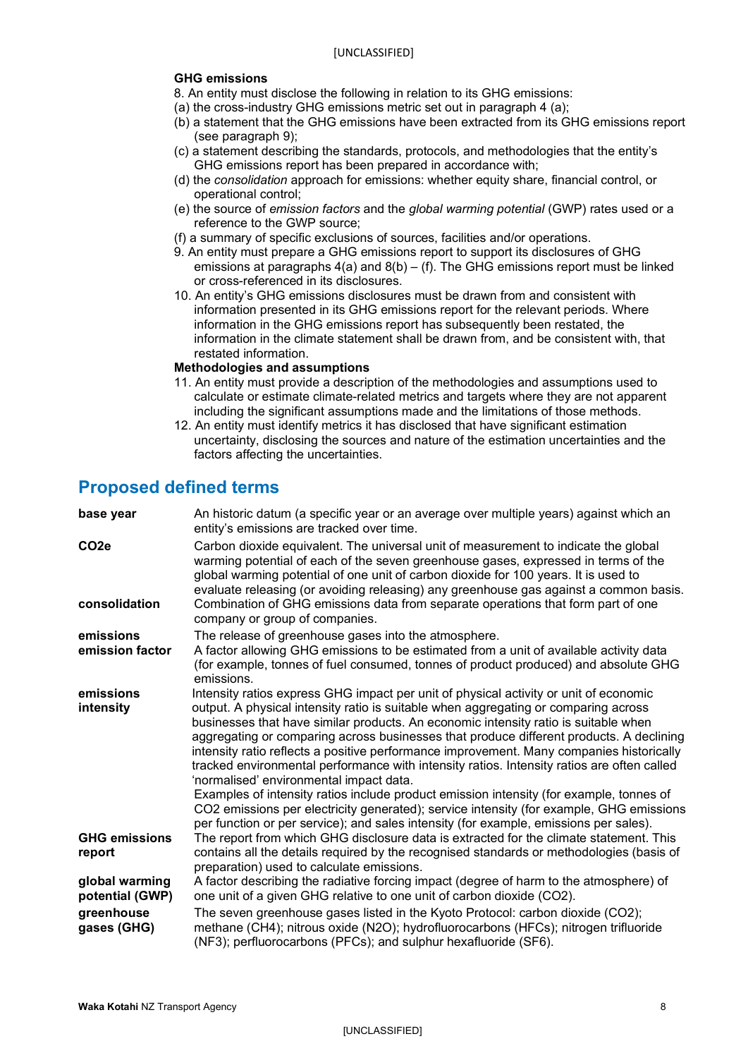#### **GHG emissions**

8. An entity must disclose the following in relation to its GHG emissions:

- (a) the cross-industry GHG emissions metric set out in paragraph 4 (a);
- (b) a statement that the GHG emissions have been extracted from its GHG emissions report (see paragraph 9);
- (c) a statement describing the standards, protocols, and methodologies that the entity's GHG emissions report has been prepared in accordance with;
- (d) the *consolidation* approach for emissions: whether equity share, financial control, or operational control;
- (e) the source of *emission factors* and the *global warming potential* (GWP) rates used or a reference to the GWP source;
- (f) a summary of specific exclusions of sources, facilities and/or operations.
- 9. An entity must prepare a GHG emissions report to support its disclosures of GHG emissions at paragraphs  $4(a)$  and  $8(b) - (f)$ . The GHG emissions report must be linked or cross-referenced in its disclosures.
- 10. An entity's GHG emissions disclosures must be drawn from and consistent with information presented in its GHG emissions report for the relevant periods. Where information in the GHG emissions report has subsequently been restated, the information in the climate statement shall be drawn from, and be consistent with, that restated information.

#### **Methodologies and assumptions**

- 11. An entity must provide a description of the methodologies and assumptions used to calculate or estimate climate-related metrics and targets where they are not apparent including the significant assumptions made and the limitations of those methods.
- 12. An entity must identify metrics it has disclosed that have significant estimation uncertainty, disclosing the sources and nature of the estimation uncertainties and the factors affecting the uncertainties.

### <span id="page-7-0"></span>**Proposed defined terms**

| base year                         | An historic datum (a specific year or an average over multiple years) against which an<br>entity's emissions are tracked over time.                                                                                                                                                                                                                                                                                                                                                                                                                                                                                                                                                                                                                                                       |
|-----------------------------------|-------------------------------------------------------------------------------------------------------------------------------------------------------------------------------------------------------------------------------------------------------------------------------------------------------------------------------------------------------------------------------------------------------------------------------------------------------------------------------------------------------------------------------------------------------------------------------------------------------------------------------------------------------------------------------------------------------------------------------------------------------------------------------------------|
| CO <sub>2e</sub><br>consolidation | Carbon dioxide equivalent. The universal unit of measurement to indicate the global<br>warming potential of each of the seven greenhouse gases, expressed in terms of the<br>global warming potential of one unit of carbon dioxide for 100 years. It is used to<br>evaluate releasing (or avoiding releasing) any greenhouse gas against a common basis.<br>Combination of GHG emissions data from separate operations that form part of one                                                                                                                                                                                                                                                                                                                                             |
|                                   | company or group of companies.                                                                                                                                                                                                                                                                                                                                                                                                                                                                                                                                                                                                                                                                                                                                                            |
| emissions<br>emission factor      | The release of greenhouse gases into the atmosphere.<br>A factor allowing GHG emissions to be estimated from a unit of available activity data<br>(for example, tonnes of fuel consumed, tonnes of product produced) and absolute GHG<br>emissions.                                                                                                                                                                                                                                                                                                                                                                                                                                                                                                                                       |
| emissions<br>intensity            | Intensity ratios express GHG impact per unit of physical activity or unit of economic<br>output. A physical intensity ratio is suitable when aggregating or comparing across<br>businesses that have similar products. An economic intensity ratio is suitable when<br>aggregating or comparing across businesses that produce different products. A declining<br>intensity ratio reflects a positive performance improvement. Many companies historically<br>tracked environmental performance with intensity ratios. Intensity ratios are often called<br>'normalised' environmental impact data.<br>Examples of intensity ratios include product emission intensity (for example, tonnes of<br>CO2 emissions per electricity generated); service intensity (for example, GHG emissions |
| <b>GHG emissions</b><br>report    | per function or per service); and sales intensity (for example, emissions per sales).<br>The report from which GHG disclosure data is extracted for the climate statement. This<br>contains all the details required by the recognised standards or methodologies (basis of                                                                                                                                                                                                                                                                                                                                                                                                                                                                                                               |
|                                   | preparation) used to calculate emissions.                                                                                                                                                                                                                                                                                                                                                                                                                                                                                                                                                                                                                                                                                                                                                 |
| global warming<br>potential (GWP) | A factor describing the radiative forcing impact (degree of harm to the atmosphere) of<br>one unit of a given GHG relative to one unit of carbon dioxide (CO2).                                                                                                                                                                                                                                                                                                                                                                                                                                                                                                                                                                                                                           |
| greenhouse<br>gases (GHG)         | The seven greenhouse gases listed in the Kyoto Protocol: carbon dioxide (CO2);<br>methane (CH4); nitrous oxide (N2O); hydrofluorocarbons (HFCs); nitrogen trifluoride<br>(NF3); perfluorocarbons (PFCs); and sulphur hexafluoride (SF6).                                                                                                                                                                                                                                                                                                                                                                                                                                                                                                                                                  |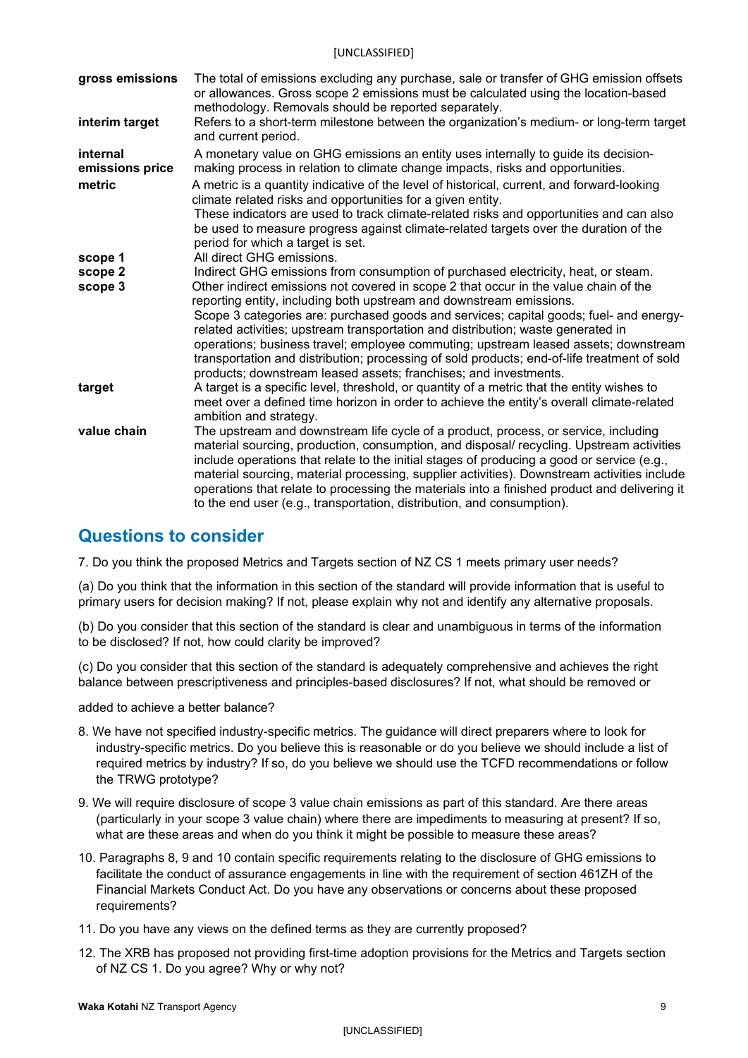| gross emissions             | The total of emissions excluding any purchase, sale or transfer of GHG emission offsets<br>or allowances. Gross scope 2 emissions must be calculated using the location-based<br>methodology. Removals should be reported separately.                                                                                                                                                                                                                                                                                                                                                               |
|-----------------------------|-----------------------------------------------------------------------------------------------------------------------------------------------------------------------------------------------------------------------------------------------------------------------------------------------------------------------------------------------------------------------------------------------------------------------------------------------------------------------------------------------------------------------------------------------------------------------------------------------------|
| interim target              | Refers to a short-term milestone between the organization's medium- or long-term target<br>and current period.                                                                                                                                                                                                                                                                                                                                                                                                                                                                                      |
| internal<br>emissions price | A monetary value on GHG emissions an entity uses internally to guide its decision-<br>making process in relation to climate change impacts, risks and opportunities.                                                                                                                                                                                                                                                                                                                                                                                                                                |
| metric                      | A metric is a quantity indicative of the level of historical, current, and forward-looking<br>climate related risks and opportunities for a given entity.<br>These indicators are used to track climate-related risks and opportunities and can also<br>be used to measure progress against climate-related targets over the duration of the<br>period for which a target is set.                                                                                                                                                                                                                   |
| scope 1                     | All direct GHG emissions.                                                                                                                                                                                                                                                                                                                                                                                                                                                                                                                                                                           |
| scope 2                     | Indirect GHG emissions from consumption of purchased electricity, heat, or steam.                                                                                                                                                                                                                                                                                                                                                                                                                                                                                                                   |
| scope 3                     | Other indirect emissions not covered in scope 2 that occur in the value chain of the<br>reporting entity, including both upstream and downstream emissions.<br>Scope 3 categories are: purchased goods and services; capital goods; fuel- and energy-<br>related activities; upstream transportation and distribution; waste generated in<br>operations; business travel; employee commuting; upstream leased assets; downstream<br>transportation and distribution; processing of sold products; end-of-life treatment of sold<br>products; downstream leased assets; franchises; and investments. |
| target                      | A target is a specific level, threshold, or quantity of a metric that the entity wishes to<br>meet over a defined time horizon in order to achieve the entity's overall climate-related<br>ambition and strategy.                                                                                                                                                                                                                                                                                                                                                                                   |
| value chain                 | The upstream and downstream life cycle of a product, process, or service, including<br>material sourcing, production, consumption, and disposal/ recycling. Upstream activities<br>include operations that relate to the initial stages of producing a good or service (e.g.,<br>material sourcing, material processing, supplier activities). Downstream activities include<br>operations that relate to processing the materials into a finished product and delivering it<br>to the end user (e.g., transportation, distribution, and consumption).                                              |

### <span id="page-8-0"></span>**Questions to consider**

7. Do you think the proposed Metrics and Targets section of NZ CS 1 meets primary user needs?

(a) Do you think that the information in this section of the standard will provide information that is useful to primary users for decision making? If not, please explain why not and identify any alternative proposals.

(b) Do you consider that this section of the standard is clear and unambiguous in terms of the information to be disclosed? If not, how could clarity be improved?

(c) Do you consider that this section of the standard is adequately comprehensive and achieves the right balance between prescriptiveness and principles-based disclosures? If not, what should be removed or

added to achieve a better balance?

- 8. We have not specified industry-specific metrics. The guidance will direct preparers where to look for industry-specific metrics. Do you believe this is reasonable or do you believe we should include a list of required metrics by industry? If so, do you believe we should use the TCFD recommendations or follow the TRWG prototype?
- 9. We will require disclosure of scope 3 value chain emissions as part of this standard. Are there areas (particularly in your scope 3 value chain) where there are impediments to measuring at present? If so, what are these areas and when do you think it might be possible to measure these areas?
- 10. Paragraphs 8, 9 and 10 contain specific requirements relating to the disclosure of GHG emissions to facilitate the conduct of assurance engagements in line with the requirement of section 461ZH of the Financial Markets Conduct Act. Do you have any observations or concerns about these proposed requirements?
- 11. Do you have any views on the defined terms as they are currently proposed?
- 12. The XRB has proposed not providing first-time adoption provisions for the Metrics and Targets section of NZ CS 1. Do you agree? Why or why not?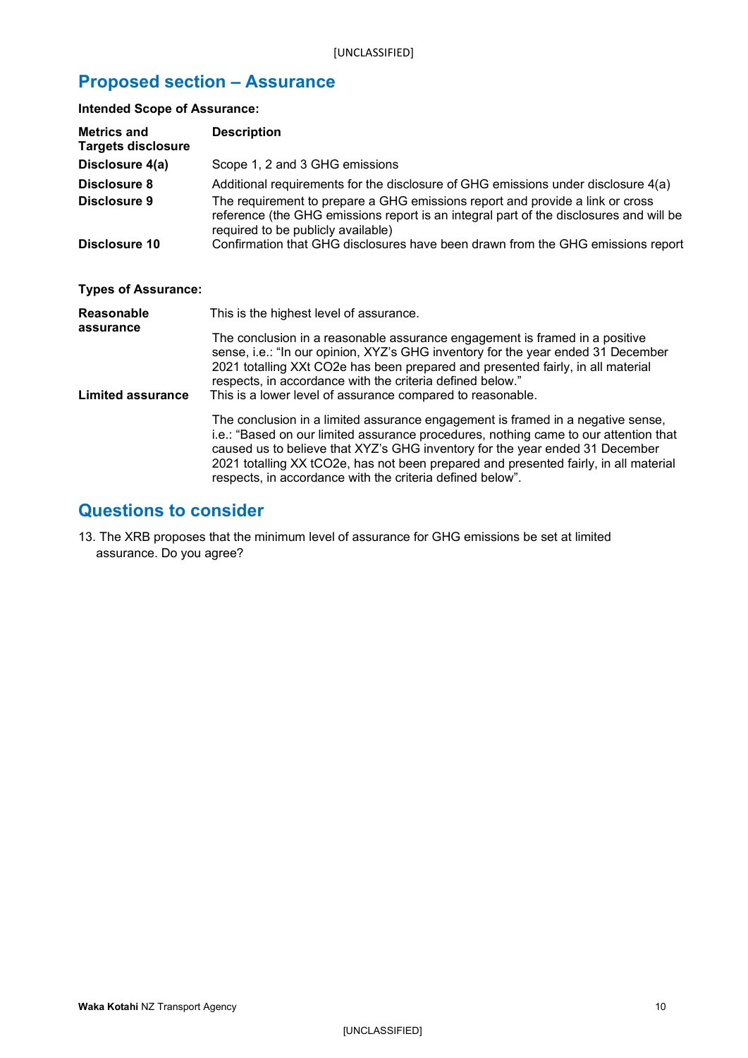# <span id="page-9-0"></span>**Proposed section – Assurance**

**Intended Scope of Assurance:**

| <b>Metrics and</b><br><b>Targets disclosure</b> | <b>Description</b>                                                                                                                                                                                                                                                                                                                                                                                           |
|-------------------------------------------------|--------------------------------------------------------------------------------------------------------------------------------------------------------------------------------------------------------------------------------------------------------------------------------------------------------------------------------------------------------------------------------------------------------------|
| Disclosure 4(a)                                 | Scope 1, 2 and 3 GHG emissions                                                                                                                                                                                                                                                                                                                                                                               |
| Disclosure 8<br>Disclosure 9                    | Additional requirements for the disclosure of GHG emissions under disclosure 4(a)<br>The requirement to prepare a GHG emissions report and provide a link or cross<br>reference (the GHG emissions report is an integral part of the disclosures and will be<br>required to be publicly available)                                                                                                           |
| Disclosure 10                                   | Confirmation that GHG disclosures have been drawn from the GHG emissions report                                                                                                                                                                                                                                                                                                                              |
| <b>Types of Assurance:</b>                      |                                                                                                                                                                                                                                                                                                                                                                                                              |
| Reasonable                                      | This is the highest level of assurance.                                                                                                                                                                                                                                                                                                                                                                      |
| assurance<br><b>Limited assurance</b>           | The conclusion in a reasonable assurance engagement is framed in a positive<br>sense, i.e.: "In our opinion, XYZ's GHG inventory for the year ended 31 December<br>2021 totalling XXt CO2e has been prepared and presented fairly, in all material<br>respects, in accordance with the criteria defined below."<br>This is a lower level of assurance compared to reasonable.                                |
|                                                 | The conclusion in a limited assurance engagement is framed in a negative sense,<br>i.e.: "Based on our limited assurance procedures, nothing came to our attention that<br>caused us to believe that XYZ's GHG inventory for the year ended 31 December<br>2021 totalling XX tCO2e, has not been prepared and presented fairly, in all material<br>respects, in accordance with the criteria defined below". |

## <span id="page-9-1"></span>**Questions to consider**

13. The XRB proposes that the minimum level of assurance for GHG emissions be set at limited assurance. Do you agree?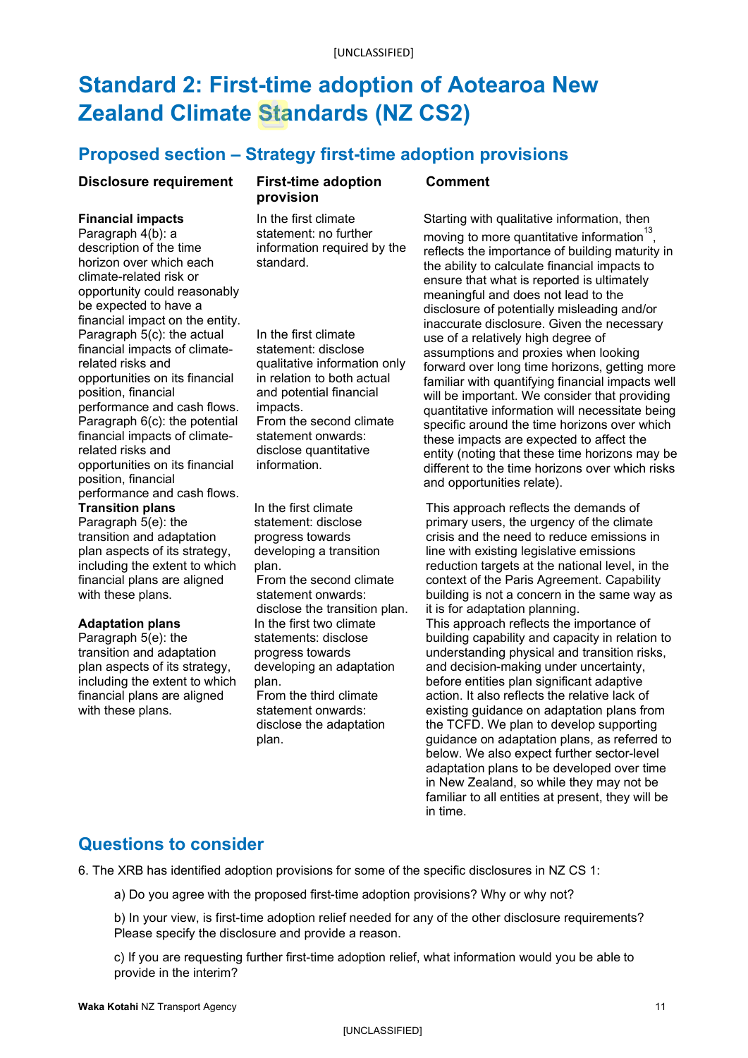# <span id="page-10-0"></span>**Standard 2: First-time adoption of Aotearoa New Zealand Climate Standards (NZ CS2)**

## <span id="page-10-1"></span>**Proposed section – Strategy first-time adoption provisions**

### **Disclosure requirement First-time adoption**

#### **Financial impacts**

Paragraph 4(b): a description of the time horizon over which each climate-related risk or opportunity could reasonably be expected to have a financial impact on the entity. Paragraph 5(c): the actual financial impacts of climaterelated risks and opportunities on its financial position, financial performance and cash flows. Paragraph 6(c): the potential financial impacts of climaterelated risks and opportunities on its financial position, financial performance and cash flows. **Transition plans** 

Paragraph 5(e): the transition and adaptation plan aspects of its strategy, including the extent to which financial plans are aligned with these plans.

#### **Adaptation plans**

Paragraph 5(e): the transition and adaptation plan aspects of its strategy, including the extent to which financial plans are aligned with these plans.

# **provision**

In the first climate statement: no further information required by the standard.

In the first climate statement: disclose qualitative information only in relation to both actual and potential financial impacts. From the second climate statement onwards: disclose quantitative information.

In the first climate statement: disclose progress towards developing a transition plan. From the second climate statement onwards: disclose the transition plan. In the first two climate statements: disclose progress towards developing an adaptation plan. From the third climate statement onwards: disclose the adaptation plan.

#### **Comment**

Starting with qualitative information, then moving to more quantitative information $^{13}$ , reflects the importance of building maturity in the ability to calculate financial impacts to ensure that what is reported is ultimately meaningful and does not lead to the disclosure of potentially misleading and/or inaccurate disclosure. Given the necessary use of a relatively high degree of assumptions and proxies when looking forward over long time horizons, getting more familiar with quantifying financial impacts well will be important. We consider that providing quantitative information will necessitate being specific around the time horizons over which these impacts are expected to affect the entity (noting that these time horizons may be different to the time horizons over which risks and opportunities relate).

This approach reflects the demands of primary users, the urgency of the climate crisis and the need to reduce emissions in line with existing legislative emissions reduction targets at the national level, in the context of the Paris Agreement. Capability building is not a concern in the same way as it is for adaptation planning. This approach reflects the importance of building capability and capacity in relation to understanding physical and transition risks, and decision-making under uncertainty, before entities plan significant adaptive action. It also reflects the relative lack of existing guidance on adaptation plans from the TCFD. We plan to develop supporting guidance on adaptation plans, as referred to below. We also expect further sector-level adaptation plans to be developed over time in New Zealand, so while they may not be familiar to all entities at present, they will be in time.

### <span id="page-10-2"></span>**Questions to consider**

6. The XRB has identified adoption provisions for some of the specific disclosures in NZ CS 1:

a) Do you agree with the proposed first-time adoption provisions? Why or why not?

b) In your view, is first-time adoption relief needed for any of the other disclosure requirements? Please specify the disclosure and provide a reason.

c) If you are requesting further first-time adoption relief, what information would you be able to provide in the interim?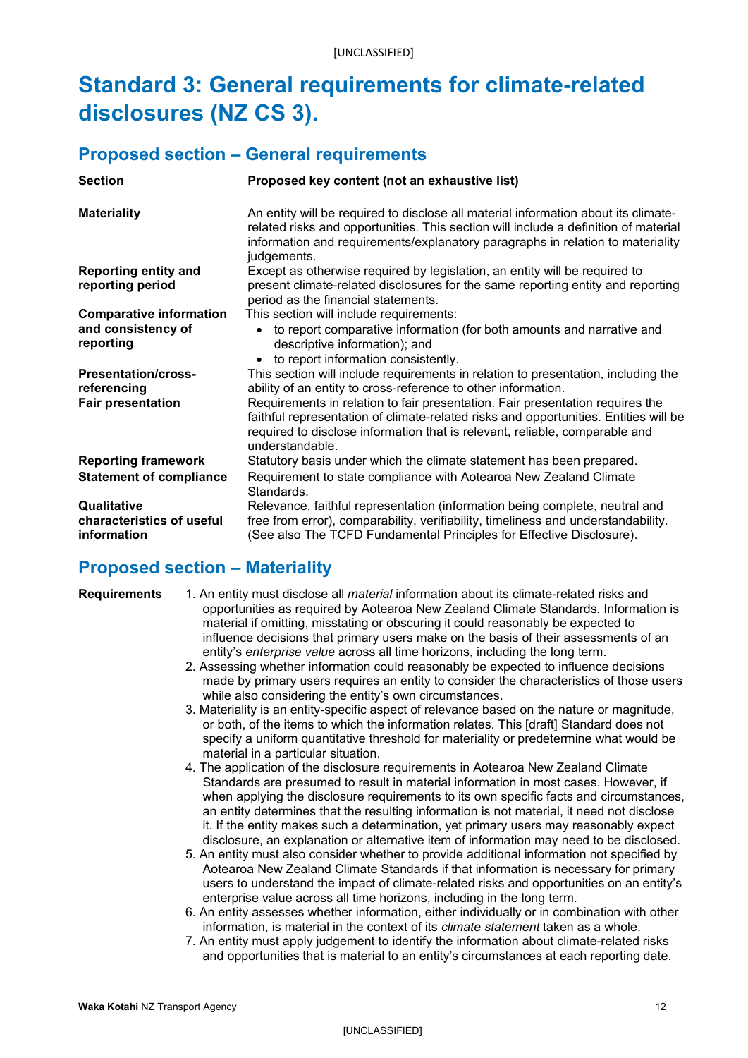# <span id="page-11-0"></span>**Standard 3: General requirements for climate-related disclosures (NZ CS 3).**

### <span id="page-11-1"></span>**Proposed section – General requirements**

| <b>Section</b>                                          | Proposed key content (not an exhaustive list)                                                                                                                                                                                                                              |
|---------------------------------------------------------|----------------------------------------------------------------------------------------------------------------------------------------------------------------------------------------------------------------------------------------------------------------------------|
| <b>Materiality</b>                                      | An entity will be required to disclose all material information about its climate-<br>related risks and opportunities. This section will include a definition of material<br>information and requirements/explanatory paragraphs in relation to materiality<br>judgements. |
| <b>Reporting entity and</b><br>reporting period         | Except as otherwise required by legislation, an entity will be required to<br>present climate-related disclosures for the same reporting entity and reporting<br>period as the financial statements.                                                                       |
| <b>Comparative information</b>                          | This section will include requirements:                                                                                                                                                                                                                                    |
| and consistency of<br>reporting                         | • to report comparative information (for both amounts and narrative and<br>descriptive information); and<br>to report information consistently.<br>$\bullet$                                                                                                               |
| <b>Presentation/cross-</b><br>referencing               | This section will include requirements in relation to presentation, including the<br>ability of an entity to cross-reference to other information.                                                                                                                         |
| <b>Fair presentation</b>                                | Requirements in relation to fair presentation. Fair presentation requires the<br>faithful representation of climate-related risks and opportunities. Entities will be<br>required to disclose information that is relevant, reliable, comparable and<br>understandable.    |
| <b>Reporting framework</b>                              | Statutory basis under which the climate statement has been prepared.                                                                                                                                                                                                       |
| <b>Statement of compliance</b>                          | Requirement to state compliance with Aotearoa New Zealand Climate<br>Standards.                                                                                                                                                                                            |
| Qualitative<br>characteristics of useful<br>information | Relevance, faithful representation (information being complete, neutral and<br>free from error), comparability, verifiability, timeliness and understandability.<br>(See also The TCFD Fundamental Principles for Effective Disclosure).                                   |

# <span id="page-11-2"></span>**Proposed section – Materiality**

- **Requirements** 1. An entity must disclose all *material* information about its climate-related risks and opportunities as required by Aotearoa New Zealand Climate Standards. Information is material if omitting, misstating or obscuring it could reasonably be expected to influence decisions that primary users make on the basis of their assessments of an entity's *enterprise value* across all time horizons, including the long term.
	- 2. Assessing whether information could reasonably be expected to influence decisions made by primary users requires an entity to consider the characteristics of those users while also considering the entity's own circumstances.
	- 3. Materiality is an entity-specific aspect of relevance based on the nature or magnitude, or both, of the items to which the information relates. This [draft] Standard does not specify a uniform quantitative threshold for materiality or predetermine what would be material in a particular situation.
	- 4. The application of the disclosure requirements in Aotearoa New Zealand Climate Standards are presumed to result in material information in most cases. However, if when applying the disclosure requirements to its own specific facts and circumstances, an entity determines that the resulting information is not material, it need not disclose it. If the entity makes such a determination, yet primary users may reasonably expect disclosure, an explanation or alternative item of information may need to be disclosed.
	- 5. An entity must also consider whether to provide additional information not specified by Aotearoa New Zealand Climate Standards if that information is necessary for primary users to understand the impact of climate-related risks and opportunities on an entity's enterprise value across all time horizons, including in the long term.
	- 6. An entity assesses whether information, either individually or in combination with other information, is material in the context of its *climate statement* taken as a whole.
	- 7. An entity must apply judgement to identify the information about climate-related risks and opportunities that is material to an entity's circumstances at each reporting date.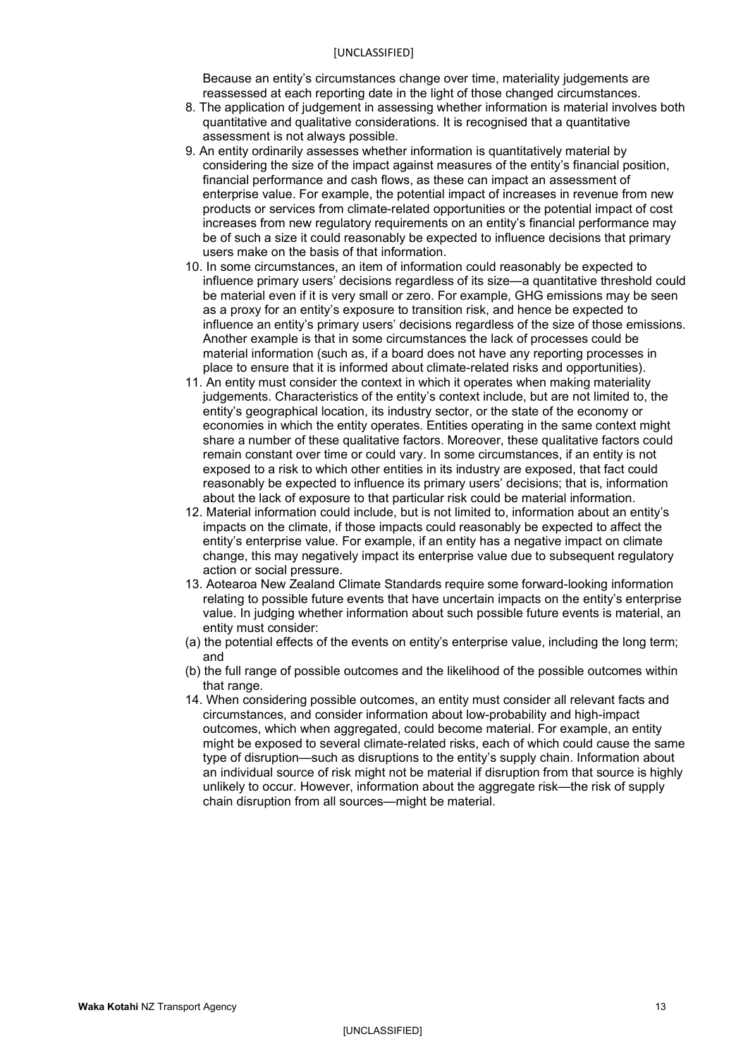#### [UNCLASSIFIED]

Because an entity's circumstances change over time, materiality judgements are reassessed at each reporting date in the light of those changed circumstances.

- 8. The application of judgement in assessing whether information is material involves both quantitative and qualitative considerations. It is recognised that a quantitative assessment is not always possible.
- 9. An entity ordinarily assesses whether information is quantitatively material by considering the size of the impact against measures of the entity's financial position, financial performance and cash flows, as these can impact an assessment of enterprise value. For example, the potential impact of increases in revenue from new products or services from climate-related opportunities or the potential impact of cost increases from new regulatory requirements on an entity's financial performance may be of such a size it could reasonably be expected to influence decisions that primary users make on the basis of that information.
- 10. In some circumstances, an item of information could reasonably be expected to influence primary users' decisions regardless of its size—a quantitative threshold could be material even if it is very small or zero. For example, GHG emissions may be seen as a proxy for an entity's exposure to transition risk, and hence be expected to influence an entity's primary users' decisions regardless of the size of those emissions. Another example is that in some circumstances the lack of processes could be material information (such as, if a board does not have any reporting processes in place to ensure that it is informed about climate-related risks and opportunities).
- 11. An entity must consider the context in which it operates when making materiality judgements. Characteristics of the entity's context include, but are not limited to, the entity's geographical location, its industry sector, or the state of the economy or economies in which the entity operates. Entities operating in the same context might share a number of these qualitative factors. Moreover, these qualitative factors could remain constant over time or could vary. In some circumstances, if an entity is not exposed to a risk to which other entities in its industry are exposed, that fact could reasonably be expected to influence its primary users' decisions; that is, information about the lack of exposure to that particular risk could be material information.
- 12. Material information could include, but is not limited to, information about an entity's impacts on the climate, if those impacts could reasonably be expected to affect the entity's enterprise value. For example, if an entity has a negative impact on climate change, this may negatively impact its enterprise value due to subsequent regulatory action or social pressure.
- 13. Aotearoa New Zealand Climate Standards require some forward-looking information relating to possible future events that have uncertain impacts on the entity's enterprise value. In judging whether information about such possible future events is material, an entity must consider:
- (a) the potential effects of the events on entity's enterprise value, including the long term; and
- (b) the full range of possible outcomes and the likelihood of the possible outcomes within that range.
- 14. When considering possible outcomes, an entity must consider all relevant facts and circumstances, and consider information about low-probability and high-impact outcomes, which when aggregated, could become material. For example, an entity might be exposed to several climate-related risks, each of which could cause the same type of disruption—such as disruptions to the entity's supply chain. Information about an individual source of risk might not be material if disruption from that source is highly unlikely to occur. However, information about the aggregate risk—the risk of supply chain disruption from all sources—might be material.